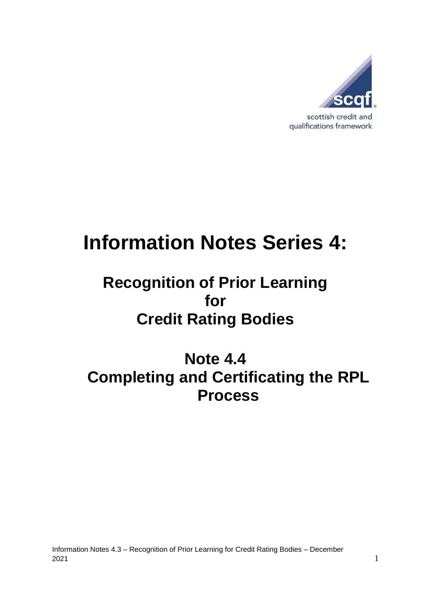

# **Information Notes Series 4:**

# **Recognition of Prior Learning for Credit Rating Bodies**

# **Note 4.4 Completing and Certificating the RPL Process**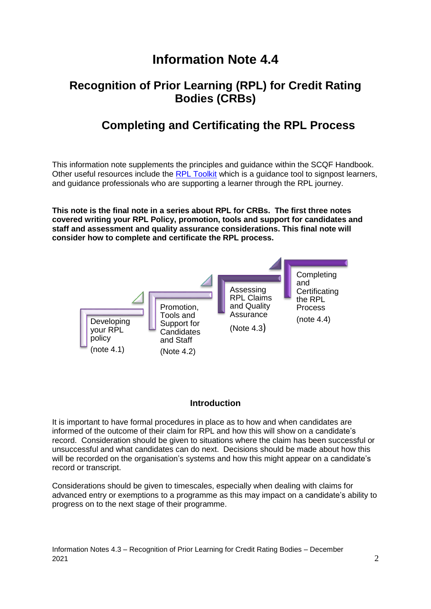## **Information Note 4.4**

#### **Recognition of Prior Learning (RPL) for Credit Rating Bodies (CRBs)**

### **Completing and Certificating the RPL Process**

This information note supplements the principles and guidance within the SCQF Handbook. Other useful resources include the RPL [Toolkit](https://scqf.org.uk/guide-to-rpl/rpl-tool/) which is a quidance tool to signpost learners, and guidance professionals who are supporting a learner through the RPL journey.

**This note is the final note in a series about RPL for CRBs. The first three notes covered writing your RPL Policy, promotion, tools and support for candidates and staff and assessment and quality assurance considerations. This final note will consider how to complete and certificate the RPL process.**



#### **Introduction**

It is important to have formal procedures in place as to how and when candidates are informed of the outcome of their claim for RPL and how this will show on a candidate's record. Consideration should be given to situations where the claim has been successful or unsuccessful and what candidates can do next. Decisions should be made about how this will be recorded on the organisation's systems and how this might appear on a candidate's record or transcript.

Considerations should be given to timescales, especially when dealing with claims for advanced entry or exemptions to a programme as this may impact on a candidate's ability to progress on to the next stage of their programme.

Information Notes 4.3 – Recognition of Prior Learning for Credit Rating Bodies – December 2021  $\sim$  2021